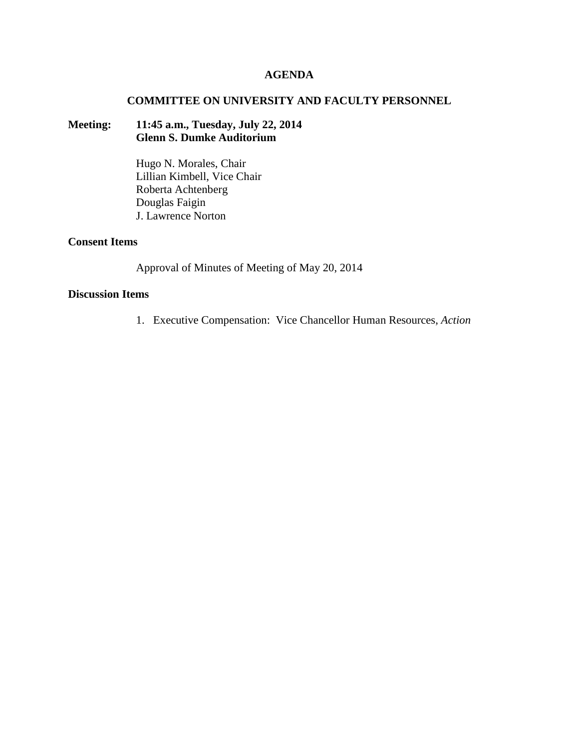### **AGENDA**

#### **COMMITTEE ON UNIVERSITY AND FACULTY PERSONNEL**

# **Meeting: 11:45 a.m., Tuesday, July 22, 2014 Glenn S. Dumke Auditorium**

Hugo N. Morales, Chair Lillian Kimbell, Vice Chair Roberta Achtenberg Douglas Faigin J. Lawrence Norton

# **Consent Items**

Approval of Minutes of Meeting of May 20, 2014

# **Discussion Items**

1. Executive Compensation: Vice Chancellor Human Resources, *Action*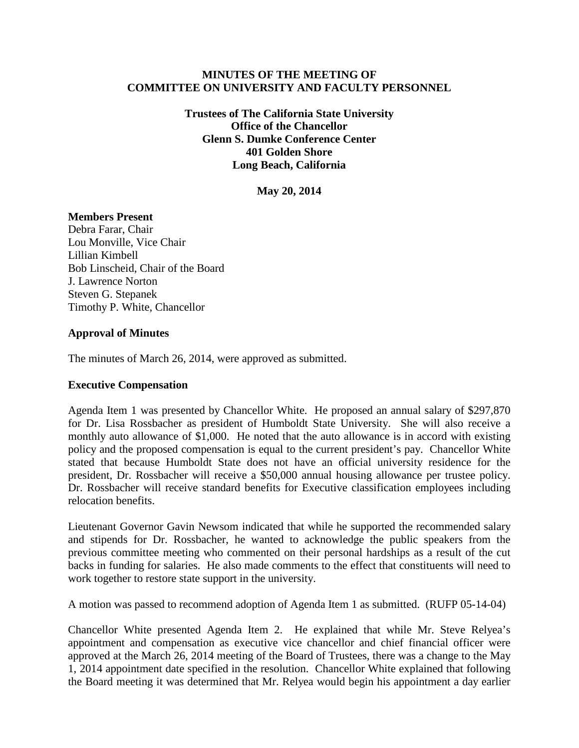### **MINUTES OF THE MEETING OF COMMITTEE ON UNIVERSITY AND FACULTY PERSONNEL**

**Trustees of The California State University Office of the Chancellor Glenn S. Dumke Conference Center 401 Golden Shore Long Beach, California**

**May 20, 2014**

#### **Members Present**

Debra Farar, Chair Lou Monville, Vice Chair Lillian Kimbell Bob Linscheid, Chair of the Board J. Lawrence Norton Steven G. Stepanek Timothy P. White, Chancellor

#### **Approval of Minutes**

The minutes of March 26, 2014, were approved as submitted.

### **Executive Compensation**

Agenda Item 1 was presented by Chancellor White. He proposed an annual salary of \$297,870 for Dr. Lisa Rossbacher as president of Humboldt State University. She will also receive a monthly auto allowance of \$1,000. He noted that the auto allowance is in accord with existing policy and the proposed compensation is equal to the current president's pay. Chancellor White stated that because Humboldt State does not have an official university residence for the president, Dr. Rossbacher will receive a \$50,000 annual housing allowance per trustee policy. Dr. Rossbacher will receive standard benefits for Executive classification employees including relocation benefits.

Lieutenant Governor Gavin Newsom indicated that while he supported the recommended salary and stipends for Dr. Rossbacher, he wanted to acknowledge the public speakers from the previous committee meeting who commented on their personal hardships as a result of the cut backs in funding for salaries. He also made comments to the effect that constituents will need to work together to restore state support in the university.

A motion was passed to recommend adoption of Agenda Item 1 as submitted. (RUFP 05-14-04)

Chancellor White presented Agenda Item 2. He explained that while Mr. Steve Relyea's appointment and compensation as executive vice chancellor and chief financial officer were approved at the March 26, 2014 meeting of the Board of Trustees, there was a change to the May 1, 2014 appointment date specified in the resolution. Chancellor White explained that following the Board meeting it was determined that Mr. Relyea would begin his appointment a day earlier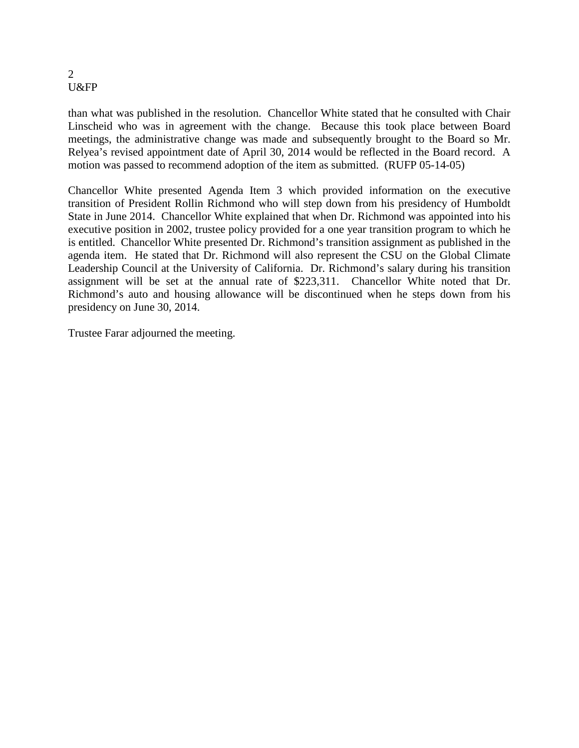#### 2 U&FP

than what was published in the resolution. Chancellor White stated that he consulted with Chair Linscheid who was in agreement with the change. Because this took place between Board meetings, the administrative change was made and subsequently brought to the Board so Mr. Relyea's revised appointment date of April 30, 2014 would be reflected in the Board record. A motion was passed to recommend adoption of the item as submitted. (RUFP 05-14-05)

Chancellor White presented Agenda Item 3 which provided information on the executive transition of President Rollin Richmond who will step down from his presidency of Humboldt State in June 2014. Chancellor White explained that when Dr. Richmond was appointed into his executive position in 2002, trustee policy provided for a one year transition program to which he is entitled. Chancellor White presented Dr. Richmond's transition assignment as published in the agenda item. He stated that Dr. Richmond will also represent the CSU on the Global Climate Leadership Council at the University of California. Dr. Richmond's salary during his transition assignment will be set at the annual rate of \$223,311. Chancellor White noted that Dr. Richmond's auto and housing allowance will be discontinued when he steps down from his presidency on June 30, 2014.

Trustee Farar adjourned the meeting.